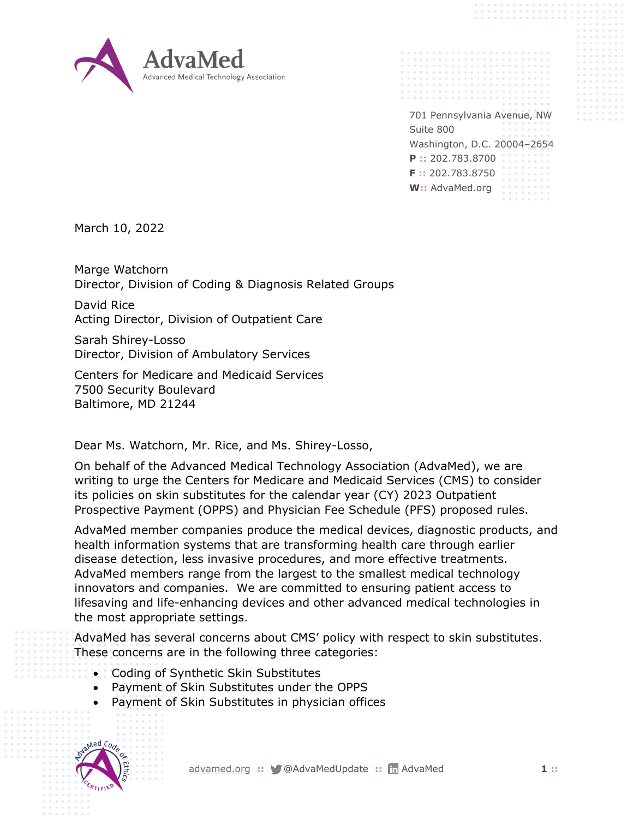

701 Pennsylvania Avenue, NW Suite 800 Washington, D.C. 20004–2654 **P ::** 202.783.8700 **F ::** 202.783.8750 **W::** AdvaMed.org

March 10, 2022

Marge Watchorn Director, Division of Coding & Diagnosis Related Groups

David Rice Acting Director, Division of Outpatient Care

Sarah Shirey-Losso Director, Division of Ambulatory Services

Centers for Medicare and Medicaid Services 7500 Security Boulevard Baltimore, MD 21244

Dear Ms. Watchorn, Mr. Rice, and Ms. Shirey-Losso,

On behalf of the Advanced Medical Technology Association (AdvaMed), we are writing to urge the Centers for Medicare and Medicaid Services (CMS) to consider its policies on skin substitutes for the calendar year (CY) 2023 Outpatient Prospective Payment (OPPS) and Physician Fee Schedule (PFS) proposed rules.

AdvaMed member companies produce the medical devices, diagnostic products, and health information systems that are transforming health care through earlier disease detection, less invasive procedures, and more effective treatments. AdvaMed members range from the largest to the smallest medical technology innovators and companies. We are committed to ensuring patient access to lifesaving and life-enhancing devices and other advanced medical technologies in the most appropriate settings.

AdvaMed has several concerns about CMS' policy with respect to skin substitutes. These concerns are in the following three categories:

- Coding of Synthetic Skin Substitutes
- Payment of Skin Substitutes under the OPPS
- Payment of Skin Substitutes in physician offices

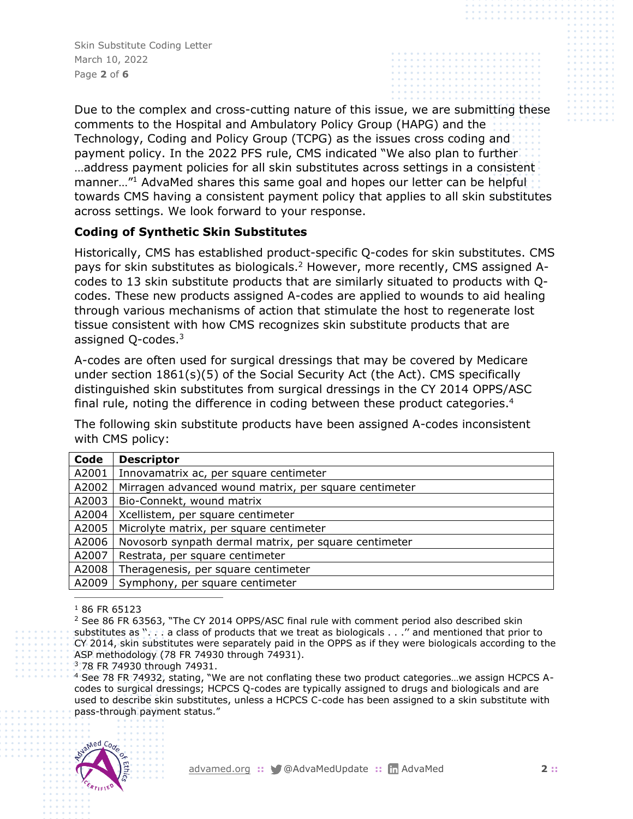Skin Substitute Coding Letter March 10, 2022 Page **2** of **6**

Due to the complex and cross-cutting nature of this issue, we are submitting these comments to the Hospital and Ambulatory Policy Group (HAPG) and the Technology, Coding and Policy Group (TCPG) as the issues cross coding and payment policy. In the 2022 PFS rule, CMS indicated "We also plan to further …address payment policies for all skin substitutes across settings in a consistent manner..."<sup>1</sup> AdvaMed shares this same goal and hopes our letter can be helpful towards CMS having a consistent payment policy that applies to all skin substitutes across settings. We look forward to your response.

## **Coding of Synthetic Skin Substitutes**

Historically, CMS has established product-specific Q-codes for skin substitutes. CMS pays for skin substitutes as biologicals.<sup>2</sup> However, more recently, CMS assigned Acodes to 13 skin substitute products that are similarly situated to products with Qcodes. These new products assigned A-codes are applied to wounds to aid healing through various mechanisms of action that stimulate the host to regenerate lost tissue consistent with how CMS recognizes skin substitute products that are assigned Q-codes.<sup>3</sup>

A-codes are often used for surgical dressings that may be covered by Medicare under section 1861(s)(5) of the Social Security Act (the Act). CMS specifically distinguished skin substitutes from surgical dressings in the CY 2014 OPPS/ASC final rule, noting the difference in coding between these product categories.<sup>4</sup>

The following skin substitute products have been assigned A-codes inconsistent with CMS policy:

| Code  | <b>Descriptor</b>                                     |  |
|-------|-------------------------------------------------------|--|
| A2001 | Innovamatrix ac, per square centimeter                |  |
| A2002 | Mirragen advanced wound matrix, per square centimeter |  |
| A2003 | Bio-Connekt, wound matrix                             |  |
| A2004 | Xcellistem, per square centimeter                     |  |
| A2005 | Microlyte matrix, per square centimeter               |  |
| A2006 | Novosorb synpath dermal matrix, per square centimeter |  |
| A2007 | Restrata, per square centimeter                       |  |
| A2008 | Theragenesis, per square centimeter                   |  |
| A2009 | Symphony, per square centimeter                       |  |

<sup>1</sup> 86 FR 65123

<sup>2</sup> See 86 FR 63563, "The CY 2014 OPPS/ASC final rule with comment period also described skin substitutes as ''. . . a class of products that we treat as biologicals . . .'' and mentioned that prior to CY 2014, skin substitutes were separately paid in the OPPS as if they were biologicals according to the ASP methodology (78 FR 74930 through 74931).

<sup>3</sup> 78 FR 74930 through 74931.

<sup>4</sup> See 78 FR 74932, stating, "We are not conflating these two product categories…we assign HCPCS Acodes to surgical dressings; HCPCS Q-codes are typically assigned to drugs and biologicals and are used to describe skin substitutes, unless a HCPCS C-code has been assigned to a skin substitute with pass-through payment status."

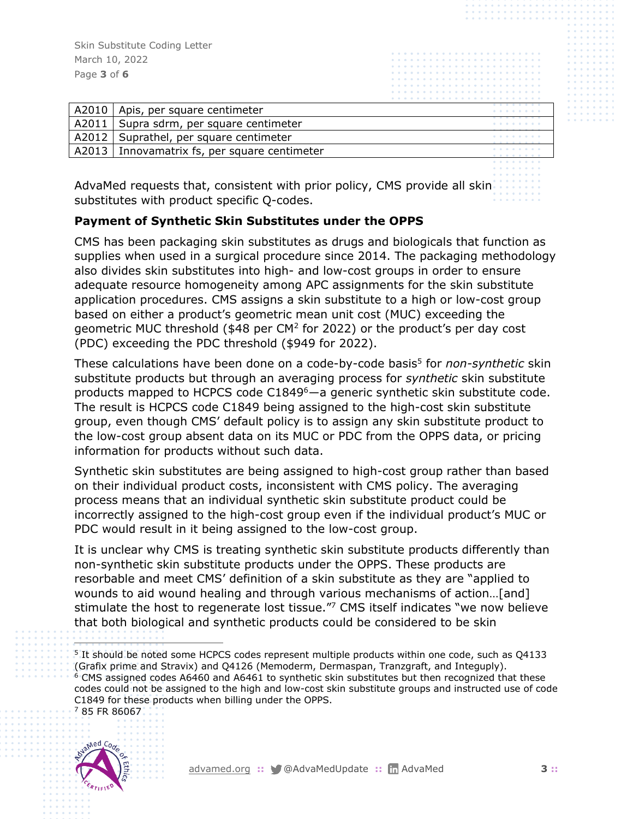Skin Substitute Coding Letter March 10, 2022 Page **3** of **6**

| A2010   | Apis, per square centimeter                    | .<br>. |
|---------|------------------------------------------------|--------|
| A2011   | Supra sdrm, per square centimeter              | .      |
| A2012 l | Suprathel, per square centimeter               | .<br>. |
|         | A2013   Innovamatrix fs, per square centimeter | .<br>. |
|         |                                                | .      |

AdvaMed requests that, consistent with prior policy, CMS provide all skinsubstitutes with product specific Q-codes.

## **Payment of Synthetic Skin Substitutes under the OPPS**

CMS has been packaging skin substitutes as drugs and biologicals that function as supplies when used in a surgical procedure since 2014. The packaging methodology also divides skin substitutes into high- and low-cost groups in order to ensure adequate resource homogeneity among APC assignments for the skin substitute application procedures. CMS assigns a skin substitute to a high or low-cost group based on either a product's geometric mean unit cost (MUC) exceeding the geometric MUC threshold (\$48 per CM<sup>2</sup> for 2022) or the product's per day cost (PDC) exceeding the PDC threshold (\$949 for 2022).

These calculations have been done on a code-by-code basis<sup>5</sup> for *non-synthetic* skin substitute products but through an averaging process for *synthetic* skin substitute products mapped to HCPCS code C1849<sup>6</sup>—a generic synthetic skin substitute code. The result is HCPCS code C1849 being assigned to the high-cost skin substitute group, even though CMS' default policy is to assign any skin substitute product to the low-cost group absent data on its MUC or PDC from the OPPS data, or pricing information for products without such data.

Synthetic skin substitutes are being assigned to high-cost group rather than based on their individual product costs, inconsistent with CMS policy. The averaging process means that an individual synthetic skin substitute product could be incorrectly assigned to the high-cost group even if the individual product's MUC or PDC would result in it being assigned to the low-cost group.

It is unclear why CMS is treating synthetic skin substitute products differently than non-synthetic skin substitute products under the OPPS. These products are resorbable and meet CMS' definition of a skin substitute as they are "applied to wounds to aid wound healing and through various mechanisms of action…[and] stimulate the host to regenerate lost tissue."<sup>7</sup> CMS itself indicates "we now believe that both biological and synthetic products could be considered to be skin

<sup>5</sup> It should be noted some HCPCS codes represent multiple products within one code, such as Q4133 (Grafix prime and Stravix) and Q4126 (Memoderm, Dermaspan, Tranzgraft, and Integuply). <sup>6</sup> CMS assigned codes A6460 and A6461 to synthetic skin substitutes but then recognized that these codes could not be assigned to the high and low-cost skin substitute groups and instructed use of code C1849 for these products when billing under the OPPS. <sup>7</sup> 85 FR 86067

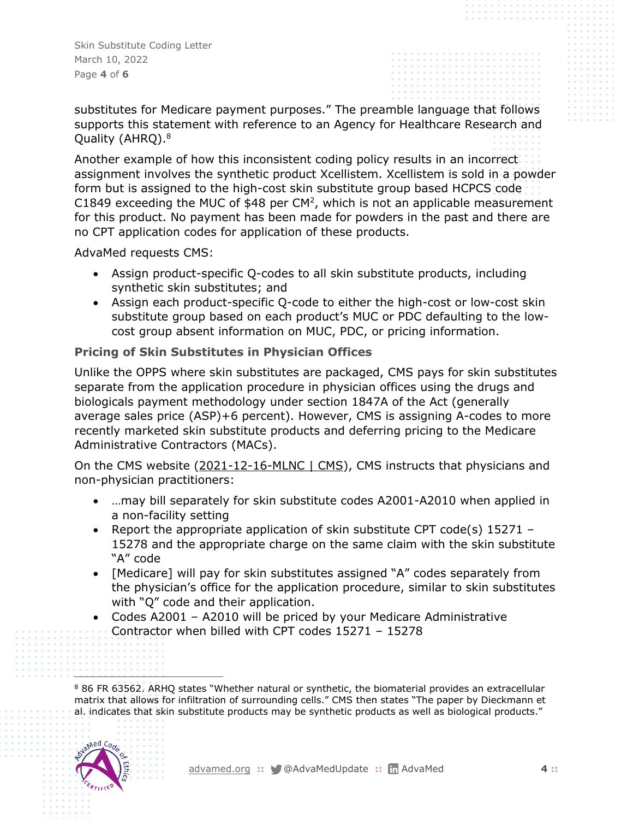Skin Substitute Coding Letter March 10, 2022 Page **4** of **6**

substitutes for Medicare payment purposes." The preamble language that follows supports this statement with reference to an Agency for Healthcare Research and Quality (AHRQ). 8

Another example of how this inconsistent coding policy results in an incorrect assignment involves the synthetic product Xcellistem. Xcellistem is sold in a powder form but is assigned to the high-cost skin substitute group based HCPCS code C1849 exceeding the MUC of  $$48$  per CM<sup>2</sup>, which is not an applicable measurement for this product. No payment has been made for powders in the past and there are no CPT application codes for application of these products.

AdvaMed requests CMS:

- Assign product-specific Q-codes to all skin substitute products, including synthetic skin substitutes; and
- Assign each product-specific Q-code to either the high-cost or low-cost skin substitute group based on each product's MUC or PDC defaulting to the lowcost group absent information on MUC, PDC, or pricing information.

## **Pricing of Skin Substitutes in Physician Offices**

Unlike the OPPS where skin substitutes are packaged, CMS pays for skin substitutes separate from the application procedure in physician offices using the drugs and biologicals payment methodology under section 1847A of the Act (generally average sales price (ASP)+6 percent). However, CMS is assigning A-codes to more recently marketed skin substitute products and deferring pricing to the Medicare Administrative Contractors (MACs).

On the CMS website [\(2021-12-16-MLNC | CMS\)](https://www.cms.gov/outreach-and-educationoutreachffsprovpartprogprovider-partnership-email-archive/2021-12-16-mlnc#_Toc90391091), CMS instructs that physicians and non-physician practitioners:

- …may bill separately for skin substitute codes A2001-A2010 when applied in a non-facility setting
- Report the appropriate application of skin substitute CPT code(s) 15271 -15278 and the appropriate charge on the same claim with the skin substitute "A" code
- [Medicare] will pay for skin substitutes assigned "A" codes separately from the physician's office for the application procedure, similar to skin substitutes with "Q" code and their application.
- Codes A2001 A2010 will be priced by your Medicare Administrative Contractor when billed with CPT codes 15271 – 15278

<sup>8</sup> 86 FR 63562. ARHQ states "Whether natural or synthetic, the biomaterial provides an extracellular matrix that allows for infiltration of surrounding cells." CMS then states "The paper by Dieckmann et al. indicates that skin substitute products may be synthetic products as well as biological products."

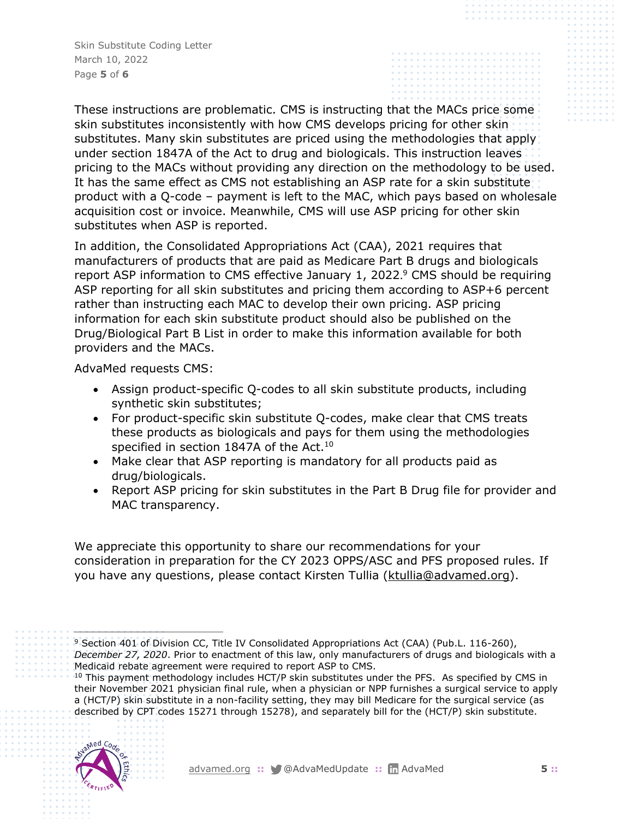Skin Substitute Coding Letter March 10, 2022 Page **5** of **6**

These instructions are problematic. CMS is instructing that the MACs price some skin substitutes inconsistently with how CMS develops pricing for other skin substitutes. Many skin substitutes are priced using the methodologies that apply under section 1847A of the Act to drug and biologicals. This instruction leaves pricing to the MACs without providing any direction on the methodology to be used. It has the same effect as CMS not establishing an ASP rate for a skin substitute product with a Q-code – payment is left to the MAC, which pays based on wholesale acquisition cost or invoice. Meanwhile, CMS will use ASP pricing for other skin substitutes when ASP is reported.

In addition, the Consolidated Appropriations Act (CAA), 2021 requires that manufacturers of products that are paid as Medicare Part B drugs and biologicals report ASP information to CMS effective January 1, 2022.<sup>9</sup> CMS should be requiring ASP reporting for all skin substitutes and pricing them according to ASP+6 percent rather than instructing each MAC to develop their own pricing. ASP pricing information for each skin substitute product should also be published on the Drug/Biological Part B List in order to make this information available for both providers and the MACs.

AdvaMed requests CMS:

- Assign product-specific Q-codes to all skin substitute products, including synthetic skin substitutes;
- For product-specific skin substitute Q-codes, make clear that CMS treats these products as biologicals and pays for them using the methodologies specified in section 1847A of the Act.<sup>10</sup>
- Make clear that ASP reporting is mandatory for all products paid as drug/biologicals.
- Report ASP pricing for skin substitutes in the Part B Drug file for provider and MAC transparency.

We appreciate this opportunity to share our recommendations for your consideration in preparation for the CY 2023 OPPS/ASC and PFS proposed rules. If you have any questions, please contact Kirsten Tullia [\(ktullia@advamed.org\)](mailto:ktullia@advamed.org).

<sup>&</sup>lt;sup>10</sup> This payment methodology includes HCT/P skin substitutes under the PFS. As specified by CMS in their November 2021 physician final rule, when a physician or NPP furnishes a surgical service to apply a (HCT/P) skin substitute in a non-facility setting, they may bill Medicare for the surgical service (as described by CPT codes 15271 through 15278), and separately bill for the (HCT/P) skin substitute.



<sup>&</sup>lt;sup>9</sup> Section 401 of Division CC, Title IV Consolidated Appropriations Act (CAA) (Pub.L. 116-260),

*December 27, 2020*. Prior to enactment of this law, only manufacturers of drugs and biologicals with a Medicaid rebate agreement were required to report ASP to CMS.